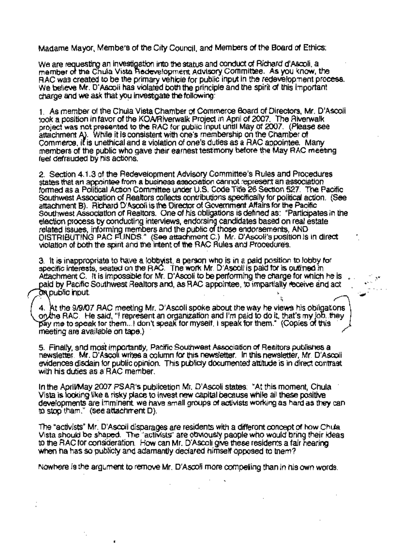Madame Mayor, Members of the City Council, and Members of the Board of Ethics:

We are requesting an investigation into the status and conduct of Richard d'Ascoli, a member of the Chula Vista Hedevelopment Advisory Committee. As you know, the RAC was created to be the primary vehicle for public input in the redevelopment process. We believe Mr. D'Ascoli has violated both the principle and the spirit of this important charge and we ask that you investigate the following:

1. As member of the Chula Vista Chamber of Commerce Board of Directors, Mr. D'Ascoli. took a position in favor of the KOA/Riverwalk Project in April of 2007. The Riverwalk project was not presented to the RAC for public input until May of 2007. (Please see attachment A). While it is consistent with one's membership on the Chamber of Commerce, it is unethical and a violation of one's duties as a RAC appointee. Many members of the public who gave their earnest testmony before the May RAC meeting feel defrauded by his actions.

2. Section 4.1.3 of the Redevelopment Advisory Committee's Rules and Procedures states that an appointee from a business association cannot represent an association formed as a Political Action Committee under U.S. Code Title 26 Section 527. The Pacific Southwest Association of Realtors collects contributions specifically for political action. (See attachment B). Richard D'Ascoli is the Director of Government Affairs for the Pacific Southwest Association of Realtors. One of his obligations is defined as: "Participates in the election process by conducting interviews, endorsing candidates based on real estate<br>related issues, informing members and the public of those endorsements, AND DISTRIBUTING PAC FUNDS." (See attachment C.) Mr. D'Ascoli's position is in direct violation of both the spirit and the intent of the RAC Rules and Procedures.

3. It is inappropriate to have a lobbyist, a person who is in a paid position to lobby for specific interests, seated on the RAC. The work Mr. D'Ascoli is paid for is outlined in Attachment C. It is impossible for Mr. D'Ascoli to be performing the charge for which he is paid by Pacific Southwest Realtors and, as RAC appointee, to impartially receive and act on public input.

4. At the 9/9/07 RAC meeting Mr. D'Ascoli spoke about the way he views his obligations on the RAC. He said, "I represent an organization and I'm paid to do it, that's my job, they pay me to speak for them...! don't speak for myself. I speak for them." (Copies of this meeting are available on tape.)

5. Finally, and most importantly, Pacific Southwest Association of Realtors publishes a newsletter. Mr. D'Ascoli writes a column for this newsletter. In this newsletter, Mr. D'Ascoli evidences disdain for public opinion. This publicty documented attitude is in direct contrast with his duties as a RAC member.

In the April/May 2007 PSAR's publicetion Mr. D'Ascoli states: "At this moment. Chula Vista is looking like a risky place to invest new capital because while all these positive developments are imminent, we have small groups of activists working as hard as they can to stop tham." (see attachment D).

The "activists" Mr. D'Ascoli disparages are residents with a differont concept of how Chula Vista should be shaped. The "activists" are obviously paople who would bring their ideas to the RAC for consideration. How can Mr. D'Ascoli give these residents a fair hearing when ha has so publicly and adamantly declared himself opposed to them?

Nowhere is the argument to remove Mr. D'Ascoli more compelling than in his own words.